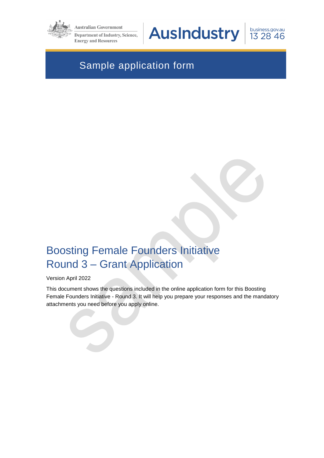

**Australian Government** 

**Department of Industry, Science, Energy and Resources** 

**AusIndustry** 

business.gov.au 13 28 46

# Sample application form

# Boosting Female Founders Initiative Round 3 – Grant Application

#### Version April 2022

This document shows the questions included in the online application form for this Boosting Female Founders Initiative - Round 3. It will help you prepare your responses and the mandatory attachments you need before you apply online.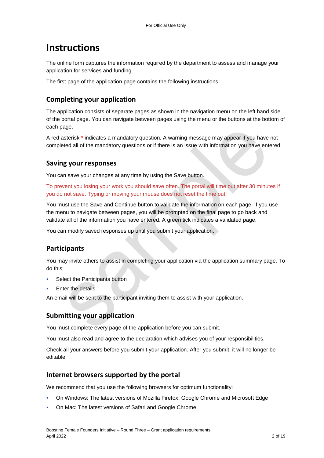# **Instructions**

The online form captures the information required by the department to assess and manage your application for services and funding.

The first page of the application page contains the following instructions.

## **Completing your application**

The application consists of separate pages as shown in the navigation menu on the left hand side of the portal page. You can navigate between pages using the menu or the buttons at the bottom of each page.

A red asterisk \* indicates a mandatory question. A warning message may appear if you have not completed all of the mandatory questions or if there is an issue with information you have entered.

### **Saving your responses**

You can save your changes at any time by using the Save button.

To prevent you losing your work you should save often. The portal will time out after 30 minutes if you do not save. Typing or moving your mouse does not reset the time out.

You must use the Save and Continue button to validate the information on each page. If you use the menu to navigate between pages, you will be prompted on the final page to go back and validate all of the information you have entered. A green tick indicates a validated page.

You can modify saved responses up until you submit your application.

# **Participants**

You may invite others to assist in completing your application via the application summary page. To do this:

- Select the Participants button
- Enter the details

An email will be sent to the participant inviting them to assist with your application.

### **Submitting your application**

You must complete every page of the application before you can submit.

You must also read and agree to the declaration which advises you of your responsibilities.

Check all your answers before you submit your application. After you submit, it will no longer be editable.

### **Internet browsers supported by the portal**

We recommend that you use the following browsers for optimum functionality:

- On Windows: The latest versions of Mozilla Firefox, Google Chrome and Microsoft Edge
- On Mac: The latest versions of Safari and Google Chrome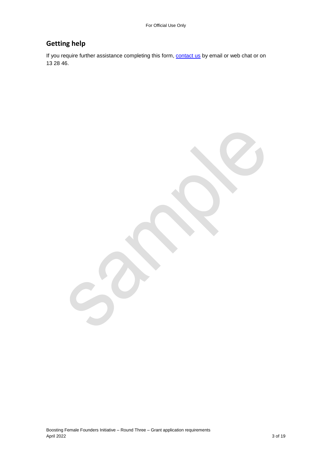# **Getting help**

If you require further assistance completing this form, **contact us** by email or web chat or on 13 28 46.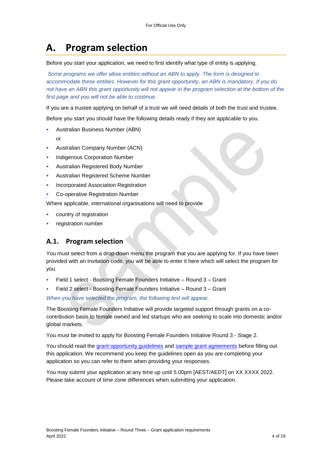# **A. Program selection**

Before you start your application, we need to first identify what type of entity is applying.

*Some programs we offer allow entities without an ABN to apply. The form is designed to accommodate these entities. However for this grant opportunity, an ABN is mandatory. If you do*  not have an ABN this grant opportunity will not appear in the program selection at the bottom of the *first page and you will not be able to continue.*

If you are a trustee applying on behalf of a trust we will need details of both the trust and trustee.

Before you start you should have the following details ready if they are applicable to you.

- Australian Business Number (ABN)
	- or
- Australian Company Number (ACN)
- Indigenous Corporation Number
- Australian Registered Body Number
- Australian Registered Scheme Number
- Incorporated Association Registration
- **Co-operative Registration Number**

Where applicable, international organisations will need to provide

- country of registration
- registration number

## **A.1. Program selection**

You must select from a drop-down menu the program that you are applying for. If you have been provided with an Invitation code, you will be able to enter it here which will select the program for you.

- Field 1 select Boosting Female Founders Initiative Round 3 Grant
- Field 2 select Boosting Female Founders Initiative Round 3 Grant

*When you have selected the program, the following text will appear.*

The Boosting Female Founders Initiative will provide targeted support through grants on a cocontribution basis to female owned and led startups who are seeking to scale into domestic and/or global markets.

You must be invited to apply for Boosting Female Founders Initiative Round 3 - Stage 2.

You should read the grant opportunity guidelines and sample grant agreements before filling out this application. We recommend you keep the guidelines open as you are completing your application so you can refer to them when providing your responses.

You may submit your application at any time up until 5.00pm [AEST/AEDT] on XX XXXX 2022. Please take account of time zone differences when submitting your application.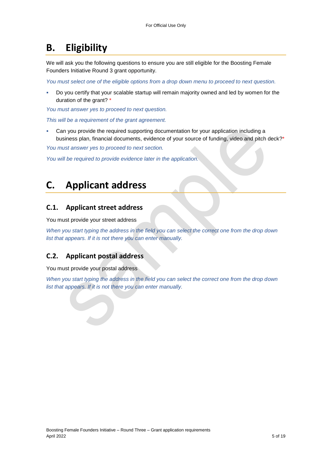# **B. Eligibility**

We will ask you the following questions to ensure you are still eligible for the Boosting Female Founders Initiative Round 3 grant opportunity.

*You must select one of the eligible options from a drop down menu to proceed to next question.*

Do you certify that your scalable startup will remain majority owned and led by women for the duration of the grant? \*

*You must answer yes to proceed to next question.*

*This will be a requirement of the grant agreement.*

 Can you provide the required supporting documentation for your application including a business plan, financial documents, evidence of your source of funding, video and pitch deck?<sup>\*</sup>

*You must answer yes to proceed to next section.*

*You will be required to provide evidence later in the application.*

# **C. Applicant address**

## **C.1. Applicant street address**

You must provide your street address

*When you start typing the address in the field you can select the correct one from the drop down list that appears. If it is not there you can enter manually.*

## **C.2. Applicant postal address**

You must provide your postal address

*When you start typing the address in the field you can select the correct one from the drop down list that appears. If it is not there you can enter manually.*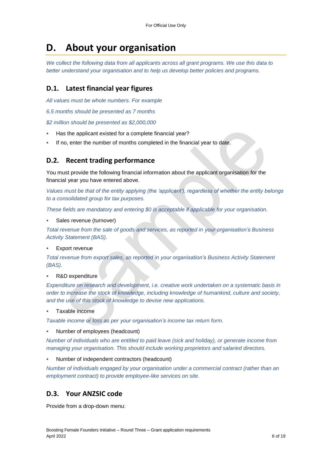# **D. About your organisation**

*We collect the following data from all applicants across all grant programs. We use this data to better understand your organisation and to help us develop better policies and programs.*

# **D.1. Latest financial year figures**

*All values must be whole numbers. For example*

*6.5 months should be presented as 7 months*

*\$2 million should be presented as \$2,000,000*

- Has the applicant existed for a complete financial year?
- If no, enter the number of months completed in the financial year to date.

### **D.2. Recent trading performance**

You must provide the following financial information about the applicant organisation for the financial year you have entered above.

*Values must be that of the entity applying (the 'applicant'), regardless of whether the entity belongs to a consolidated group for tax purposes.*

*These fields are mandatory and entering \$0 is acceptable if applicable for your organisation.*

Sales revenue (turnover)

*Total revenue from the sale of goods and services, as reported in your organisation's Business Activity Statement (BAS).*

Export revenue

*Total revenue from export sales, as reported in your organisation's Business Activity Statement (BAS).*

R&D expenditure

*Expenditure on research and development, i.e. creative work undertaken on a systematic basis in order to increase the stock of knowledge, including knowledge of humankind, culture and society, and the use of this stock of knowledge to devise new applications.*

Taxable income

*Taxable income or loss as per your organisation's income tax return form.*

Number of employees (headcount)

*Number of individuals who are entitled to paid leave (sick and holiday), or generate income from managing your organisation. This should include working proprietors and salaried directors.*

Number of independent contractors (headcount)

*Number of individuals engaged by your organisation under a commercial contract (rather than an employment contract) to provide employee-like services on site.*

## **D.3. Your ANZSIC code**

Provide from a drop-down menu: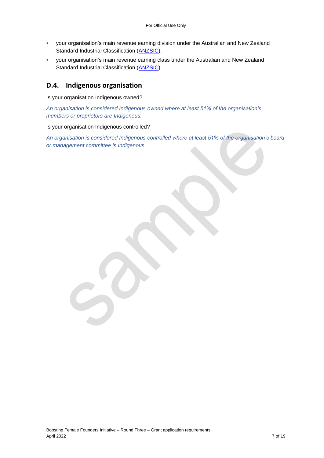- your organisation's main revenue earning division under the Australian and New Zealand Standard Industrial Classification [\(ANZSIC\)](https://www.abs.gov.au/ausstats/abs@.nsf/0/20C5B5A4F46DF95BCA25711F00146D75?opendocument).
- your organisation's main revenue earning class under the Australian and New Zealand Standard Industrial Classification [\(ANZSIC\)](https://www.abs.gov.au/ausstats/abs@.nsf/0/20C5B5A4F46DF95BCA25711F00146D75?opendocument).

### **D.4. Indigenous organisation**

Is your organisation Indigenous owned?

*An organisation is considered Indigenous owned where at least 51% of the organisation's members or proprietors are Indigenous.*

Is your organisation Indigenous controlled?

*An organisation is considered Indigenous controlled where at least 51% of the organisation's board or management committee is Indigenous.*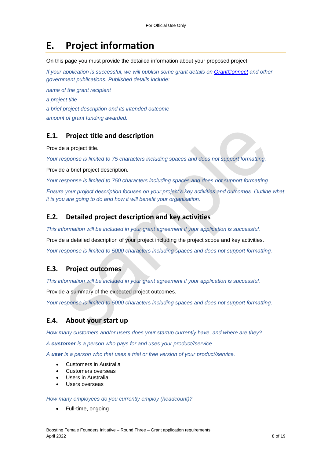# **E. Project information**

On this page you must provide the detailed information about your proposed project.

*If your application is successful, we will publish some grant details on GrantConnect and other government publications. Published details include:*

*name of the grant recipient a project title a brief project description and its intended outcome amount of grant funding awarded.* 

## **E.1. Project title and description**

Provide a project title.

*Your response is limited to 75 characters including spaces and does not support formatting.* 

Provide a brief project description.

*Your response is limited to 750 characters including spaces and does not support formatting.* 

*Ensure your project description focuses on your project's key activities and outcomes. Outline what it is you are going to do and how it will benefit your organisation.*

#### **E.2. Detailed project description and key activities**

*This information will be included in your grant agreement if your application is successful.*

Provide a detailed description of your project including the project scope and key activities.

*Your response is limited to 5000 characters including spaces and does not support formatting.* 

#### **E.3. Project outcomes**

*This information will be included in your grant agreement if your application is successful.*

Provide a summary of the expected project outcomes.

*Your response is limited to 5000 characters including spaces and does not support formatting.*

### **E.4. About your start up**

*How many customers and/or users does your startup currently have, and where are they?*

*A customer is a person who pays for and uses your product//service.*

*A user is a person who that uses a trial or free version of your product/service.*

- Customers in Australia
- Customers overseas
- Users in Australia
- Users overseas

*How many employees do you currently employ (headcount)?*

Full-time, ongoing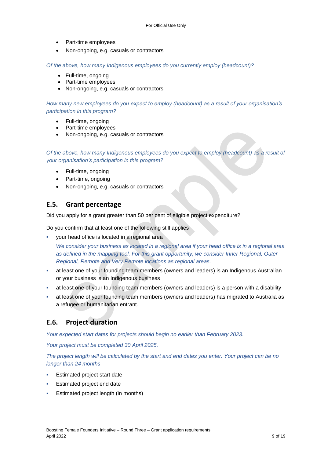- Part-time employees
- Non-ongoing, e.g. casuals or contractors

*Of the above, how many Indigenous employees do you currently employ (headcount)?*

- Full-time, ongoing
- Part-time employees
- Non-ongoing, e.g. casuals or contractors

*How many new employees do you expect to employ (headcount) as a result of your organisation's participation in this program?*

- Full-time, ongoing
- Part-time employees
- Non-ongoing, e.g. casuals or contractors

*Of the above, how many Indigenous employees do you expect to employ (headcount) as a result of your organisation's participation in this program?*

- Full-time, ongoing
- Part-time, ongoing
- Non-ongoing, e.g. casuals or contractors

### **E.5. Grant percentage**

Did you apply for a grant greater than 50 per cent of eligible project expenditure?

Do you confirm that at least one of the following still applies

 your head office is located in a regional area *We consider your business as located in a regional area if your head office is in a regional area as defined in the [mapping tool.](https://www.health.gov.au/resources/apps-and-tools/health-workforce-locator/health-workforce-locator) For this grant opportunity, we consider Inner Regional, Outer Regional, Remote and Very Remote locations as regional areas.*

- at least one of your founding team members (owners and leaders) is an Indigenous Australian or your business is an Indigenous business
- at least one of your founding team members (owners and leaders) is a person with a disability
- at least one of your founding team members (owners and leaders) has migrated to Australia as a refugee or humanitarian entrant.

### **E.6. Project duration**

*Your expected start dates for projects should begin no earlier than February 2023.*

*Your project must be completed 30 April 2025.*

*The project length will be calculated by the start and end dates you enter. Your project can be no longer than 24 months*

- Estimated project start date
- Estimated project end date
- Estimated project length (in months)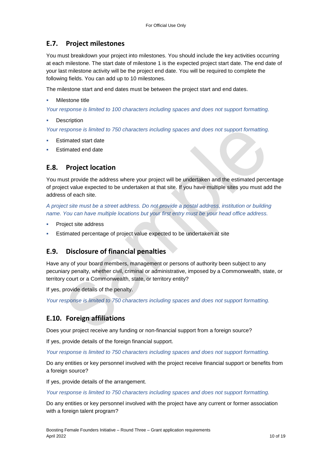# **E.7. Project milestones**

You must breakdown your project into milestones. You should include the key activities occurring at each milestone. The start date of milestone 1 is the expected project start date. The end date of your last milestone activity will be the project end date. You will be required to complete the following fields. You can add up to 10 milestones.

The milestone start and end dates must be between the project start and end dates.

#### Milestone title

*Your response is limited to 100 characters including spaces and does not support formatting.*

**Description** 

*Your response is limited to 750 characters including spaces and does not support formatting.*

- Estimated start date
- Estimated end date

# **E.8. Project location**

You must provide the address where your project will be undertaken and the estimated percentage of project value expected to be undertaken at that site. If you have multiple sites you must add the address of each site.

*A project site must be a street address. Do not provide a postal address, institution or building name. You can have multiple locations but your first entry must be your head office address.*

- Project site address
- Estimated percentage of project value expected to be undertaken at site

# **E.9. Disclosure of financial penalties**

Have any of your board members, management or persons of authority been subject to any pecuniary penalty, whether civil, criminal or administrative, imposed by a Commonwealth, state, or territory court or a Commonwealth, state, or territory entity?

If yes, provide details of the penalty.

*Your response is limited to 750 characters including spaces and does not support formatting.*

# **E.10. Foreign affiliations**

Does your project receive any funding or non-financial support from a foreign source?

If yes, provide details of the foreign financial support.

*Your response is limited to 750 characters including spaces and does not support formatting.*

Do any entities or key personnel involved with the project receive financial support or benefits from a foreign source?

If yes, provide details of the arrangement.

*Your response is limited to 750 characters including spaces and does not support formatting.*

Do any entities or key personnel involved with the project have any current or former association with a foreign talent program?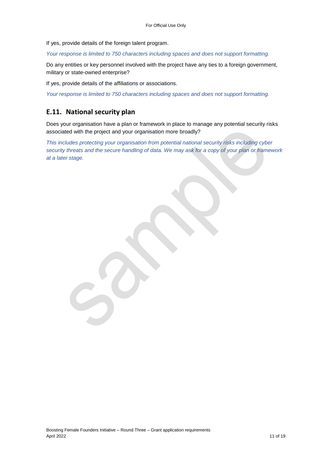If yes, provide details of the foreign talent program.

*Your response is limited to 750 characters including spaces and does not support formatting.*

Do any entities or key personnel involved with the project have any ties to a foreign government, military or state-owned enterprise?

If yes, provide details of the affiliations or associations.

*Your response is limited to 750 characters including spaces and does not support formatting.*

# **E.11. National security plan**

Does your organisation have a plan or framework in place to manage any potential security risks associated with the project and your organisation more broadly?

*This includes protecting your organisation from potential national security risks including cyber security threats and the secure handling of data. We may ask for a copy of your plan or framework at a later stage.*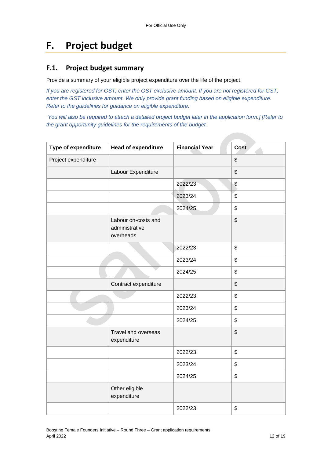# **F. Project budget**

# **F.1. Project budget summary**

Provide a summary of your eligible project expenditure over the life of the project.

*If you are registered for GST, enter the GST exclusive amount. If you are not registered for GST, enter the GST inclusive amount. We only provide grant funding based on eligible expenditure. Refer to the guidelines for guidance on eligible expenditure.*

*You will also be required to attach a detailed project budget later in the application form.] [Refer to the grant opportunity guidelines for the requirements of the budget.*

| Type of expenditure | <b>Head of expenditure</b>                         | <b>Financial Year</b> | <b>Cost</b>   |
|---------------------|----------------------------------------------------|-----------------------|---------------|
| Project expenditure |                                                    |                       | \$            |
|                     | Labour Expenditure                                 |                       | \$            |
|                     |                                                    | 2022/23               | \$            |
|                     |                                                    | 2023/24               | $\frac{1}{2}$ |
|                     |                                                    | 2024/25               | \$            |
|                     | Labour on-costs and<br>administrative<br>overheads |                       | \$            |
|                     |                                                    | 2022/23               | \$            |
|                     |                                                    | 2023/24               | \$            |
|                     |                                                    | 2024/25               | \$            |
|                     | Contract expenditure                               |                       | \$            |
|                     |                                                    | 2022/23               | \$            |
|                     |                                                    | 2023/24               | \$            |
|                     |                                                    | 2024/25               | \$            |
|                     | Travel and overseas<br>expenditure                 |                       | \$            |
|                     |                                                    | 2022/23               | \$            |
|                     |                                                    | 2023/24               | \$            |
|                     |                                                    | 2024/25               | \$            |
|                     | Other eligible<br>expenditure                      |                       |               |
|                     |                                                    | 2022/23               | \$            |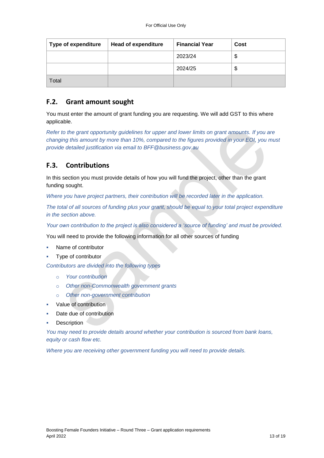| <b>Type of expenditure</b> | <b>Head of expenditure</b> | <b>Financial Year</b> | Cost |
|----------------------------|----------------------------|-----------------------|------|
|                            |                            | 2023/24               |      |
|                            |                            | 2024/25               | Φ    |
| Total                      |                            |                       |      |

### **F.2. Grant amount sought**

You must enter the amount of grant funding you are requesting. We will add GST to this where applicable.

*Refer to the grant opportunity guidelines for upper and lower limits on grant amounts. If you are changing this amount by more than 10%, compared to the figures provided in your EOI, you must provide detailed justification via email to BFF@business.gov.au*

# **F.3. Contributions**

In this section you must provide details of how you will fund the project, other than the grant funding sought.

*Where you have project partners, their contribution will be recorded later in the application.*

*The total of all sources of funding plus your grant, should be equal to your total project expenditure in the section above.*

*Your own contribution to the project is also considered a 'source of funding' and must be provided.*

You will need to provide the following information for all other sources of funding

- Name of contributor
- Type of contributor

*Contributors are divided into the following types*

- o *Your contribution*
- o *Other non-Commonwealth government grants*
- o *Other non-government contribution*
- Value of contribution
- Date due of contribution
- **Description**

*You may need to provide details around whether your contribution is sourced from bank loans, equity or cash flow etc.* 

*Where you are receiving other government funding you will need to provide details.*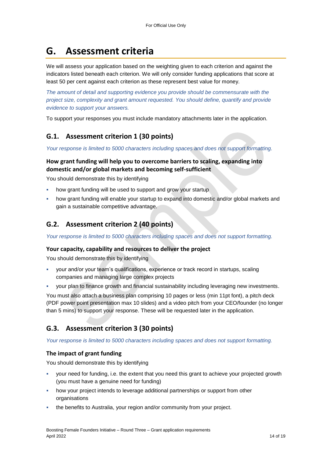# **G. Assessment criteria**

We will assess your application based on the weighting given to each criterion and against the indicators listed beneath each criterion. We will only consider funding applications that score at least 50 per cent against each criterion as these represent best value for money.

*The amount of detail and supporting evidence you provide should be commensurate with the project size, complexity and grant amount requested. You should define, quantify and provide evidence to support your answers.*

To support your responses you must include mandatory attachments later in the application.

# **G.1. Assessment criterion 1 (30 points)**

*Your response is limited to 5000 characters including spaces and does not support formatting.* 

#### **How grant funding will help you to overcome barriers to scaling, expanding into domestic and/or global markets and becoming self-sufficient**

You should demonstrate this by identifying

- how grant funding will be used to support and grow your startup
- how grant funding will enable your startup to expand into domestic and/or global markets and gain a sustainable competitive advantage.

## **G.2. Assessment criterion 2 (40 points)**

*Your response is limited to 5000 characters including spaces and does not support formatting.* 

#### **Your capacity, capability and resources to deliver the project**

You should demonstrate this by identifying

- your and/or your team's qualifications, experience or track record in startups, scaling companies and managing large complex projects
- your plan to finance growth and financial sustainability including leveraging new investments.

You must also attach a business plan comprising 10 pages or less (min 11pt font), a pitch deck (PDF power point presentation max 10 slides) and a video pitch from your CEO/founder (no longer than 5 mins) to support your response. These will be requested later in the application.

# **G.3. Assessment criterion 3 (30 points)**

*Your response is limited to 5000 characters including spaces and does not support formatting.* 

#### **The impact of grant funding**

You should demonstrate this by identifying

- your need for funding, i.e. the extent that you need this grant to achieve your projected growth (you must have a genuine need for funding)
- how your project intends to leverage additional partnerships or support from other organisations
- the benefits to Australia, your region and/or community from your project.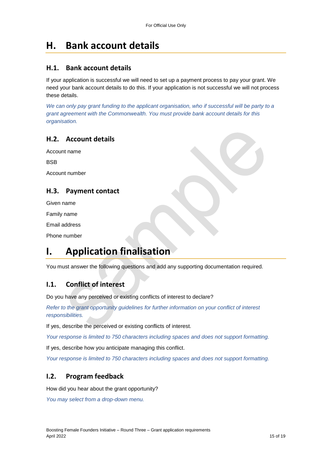# **H. Bank account details**

### **H.1. Bank account details**

If your application is successful we will need to set up a payment process to pay your grant. We need your bank account details to do this. If your application is not successful we will not process these details.

*We can only pay grant funding to the applicant organisation, who if successful will be party to a grant agreement with the Commonwealth. You must provide bank account details for this organisation.*

## **H.2. Account details**

Account name

**BSB** 

Account number

# **H.3. Payment contact**

Given name

Family name

Email address

Phone number

# **I. Application finalisation**

You must answer the following questions and add any supporting documentation required.

## **I.1. Conflict of interest**

Do you have any perceived or existing conflicts of interest to declare?

*Refer to the grant opportunity guidelines for further information on your conflict of interest responsibilities.*

If yes, describe the perceived or existing conflicts of interest.

*Your response is limited to 750 characters including spaces and does not support formatting.*

If yes, describe how you anticipate managing this conflict.

*Your response is limited to 750 characters including spaces and does not support formatting.*

## **I.2. Program feedback**

How did you hear about the grant opportunity?

*You may select from a drop-down menu.*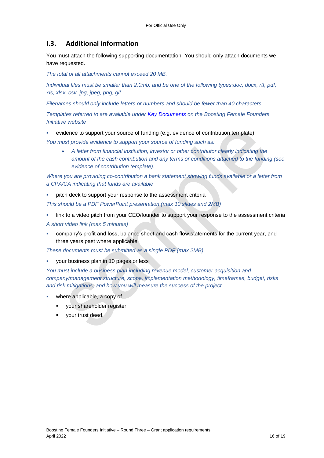# **I.3. Additional information**

You must attach the following supporting documentation. You should only attach documents we have requested.

*The total of all attachments cannot exceed 20 MB.* 

*Individual files must be smaller than 2.0mb, and be one of the following types:doc, docx, rtf, pdf, xls, xlsx, csv, jpg, jpeg, png, gif.*

*Filenames should only include letters or numbers and should be fewer than 40 characters.* 

*Templates referred to are available under [Key Documents](https://business.gov.au/grants-and-programs/boosting-female-founders-initiative-round-3#key-documents) on the Boosting Female Founders Initiative website*

evidence to support your source of funding (e.g. evidence of contribution template)

*You must provide evidence to support your source of funding such as:*

 *A letter from financial institution, investor or other contributor clearly indicating the amount of the cash contribution and any terms or conditions attached to the funding (see evidence of contribution template).* 

*Where you are providing co-contribution a bank statement showing funds available or a letter from a CPA/CA indicating that funds are available*

 pitch deck to support your response to the assessment criteria *This should be a PDF PowerPoint presentation (max 10 slides and 2MB)*

link to a video pitch from your CEO/founder to support your response to the assessment criteria

*A short video link (max 5 minutes)*

 company's profit and loss, balance sheet and cash flow statements for the current year, and three years past where applicable

*These documents must be submitted as a single PDF (max 2MB)*

your business plan in 10 pages or less

*You must include a business plan including revenue model, customer acquisition and company/management structure, scope, implementation methodology, timeframes, budget, risks and risk mitigations, and how you will measure the success of the project* 

- where applicable, a copy of
	- your shareholder register
	- **vour trust deed.**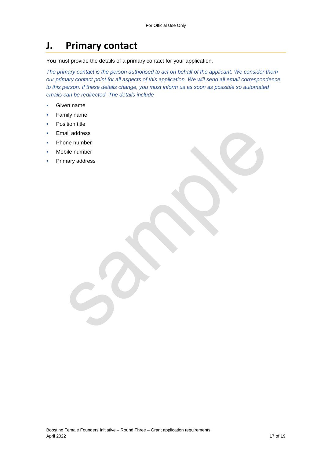# **J. Primary contact**

You must provide the details of a primary contact for your application.

*The primary contact is the person authorised to act on behalf of the applicant. We consider them our primary contact point for all aspects of this application. We will send all email correspondence to this person. If these details change, you must inform us as soon as possible so automated emails can be redirected. The details include*

- Given name
- **Family name**
- Position title
- Email address
- Phone number
- Mobile number
- Primary address

Boosting Female Founders Initiative – Round Three – Grant application requirements April 2022 17 of 19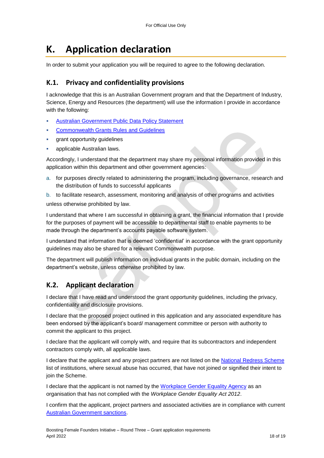# **K. Application declaration**

In order to submit your application you will be required to agree to the following declaration.

### **K.1. Privacy and confidentiality provisions**

I acknowledge that this is an Australian Government program and that the Department of Industry, Science, Energy and Resources (the department) will use the information I provide in accordance with the following:

- [Australian Government Public Data Policy Statement](https://www.pmc.gov.au/sites/default/files/publications/aust_govt_public_data_policy_statement_1.pdf)
- [Commonwealth Grants Rules and Guidelines](https://www.finance.gov.au/government/commonwealth-grants/commonwealth-grants-rules-guidelines)
- grant opportunity guidelines
- applicable Australian laws.

Accordingly, I understand that the department may share my personal information provided in this application within this department and other government agencies:

a. for purposes directly related to administering the program, including governance, research and the distribution of funds to successful applicants

b. to facilitate research, assessment, monitoring and analysis of other programs and activities unless otherwise prohibited by law.

I understand that where I am successful in obtaining a grant, the financial information that I provide for the purposes of payment will be accessible to departmental staff to enable payments to be made through the department's accounts payable software system.

I understand that information that is deemed 'confidential' in accordance with the grant opportunity guidelines may also be shared for a relevant Commonwealth purpose.

The department will publish information on individual grants in the public domain, including on the department's website, unless otherwise prohibited by law.

## **K.2. Applicant declaration**

I declare that I have read and understood the grant opportunity guidelines, including the privacy, confidentiality and disclosure provisions.

I declare that the proposed project outlined in this application and any associated expenditure has been endorsed by the applicant's board/ management committee or person with authority to commit the applicant to this project.

I declare that the applicant will comply with, and require that its subcontractors and independent contractors comply with, all applicable laws.

I declare that the applicant and any project partners are not listed on the [National Redress Scheme](https://www.nationalredress.gov.au/institutions/institutions-have-not-yet-joined) list of institutions, where sexual abuse has occurred, that have not joined or signified their intent to join the Scheme.

I declare that the applicant is not named by the [Workplace Gender Equality Agency](https://www.wgea.gov.au/what-we-do/compliance-reporting/non-compliant-list) as an organisation that has not complied with the *Workplace Gender Equality Act 2012*.

I confirm that the applicant, project partners and associated activities are in compliance with current [Australian Government sanctions.](https://www.dfat.gov.au/international-relations/security/sanctions)